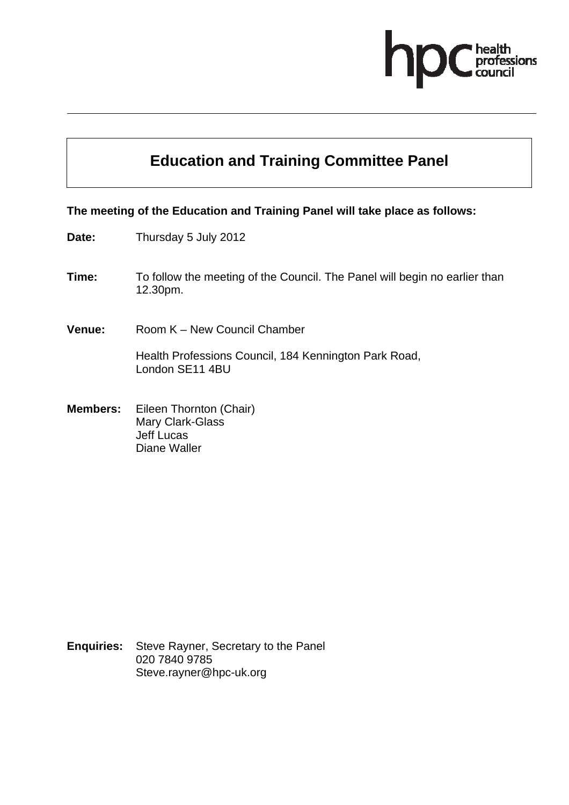

# **Education and Training Committee Panel**

#### **The meeting of the Education and Training Panel will take place as follows:**

- **Date:** Thursday 5 July 2012
- **Time:** To follow the meeting of the Council. The Panel will begin no earlier than 12.30pm.
- **Venue:** Room K New Council Chamber

Health Professions Council, 184 Kennington Park Road, London SE11 4BU

**Members:** Eileen Thornton (Chair) Mary Clark-Glass Jeff Lucas Diane Waller

**Enquiries:** Steve Rayner, Secretary to the Panel 020 7840 9785 Steve.rayner@hpc-uk.org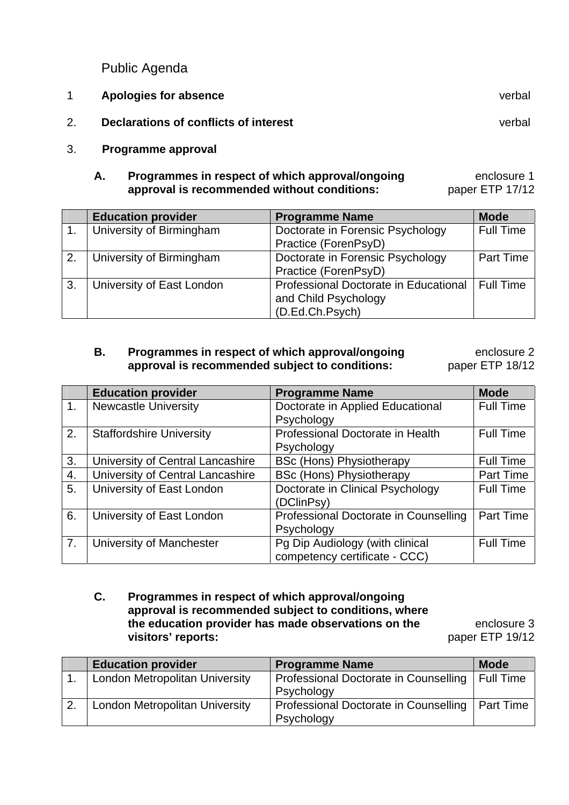Public Agenda

|    | Apologies for absence                 | verbal |
|----|---------------------------------------|--------|
| 2. | Declarations of conflicts of interest | verbal |

3. **Programme approval** 

#### **A. Programmes in respect of which approval/ongoing approval is recommended without conditions:**  enclosure 1 paper ETP 17/12

|    | <b>Education provider</b> | <b>Programme Name</b>                 | <b>Mode</b>      |
|----|---------------------------|---------------------------------------|------------------|
|    | University of Birmingham  | Doctorate in Forensic Psychology      | <b>Full Time</b> |
|    |                           | Practice (ForenPsyD)                  |                  |
| 2. | University of Birmingham  | Doctorate in Forensic Psychology      | <b>Part Time</b> |
|    |                           | Practice (ForenPsyD)                  |                  |
| 3. | University of East London | Professional Doctorate in Educational | l Full Time      |
|    |                           | and Child Psychology                  |                  |
|    |                           | (D.Ed.Ch.Psych)                       |                  |

#### **B. Programmes in respect of which approval/ongoing approval is recommended subject to conditions:**  enclosure 2 paper ETP 18/12

**Education provider Education Programme Name Mode** 1. Newcastle University Doctorate in Applied Educational Psychology Full Time 2. Staffordshire University **Professional Doctorate in Health Psychology** Full Time 3. University of Central Lancashire BSc (Hons) Physiotherapy Full Time<br>4. University of Central Lancashire BSc (Hons) Physiotherapy Part Time 4. University of Central Lancashire BSc (Hons) Physiotherapy Part Time<br>
5. University of East London Doctorate in Clinical Psychology Full Time 5. University of East London Doctorate in Clinical Psychology (DClinPsy) Full Time 6. University of East London Professional Doctorate in Counselling **Psychology** Part Time 7. University of Manchester Pg Dip Audiology (with clinical competency certificate - CCC) Full Time

#### **C. Programmes in respect of which approval/ongoing approval is recommended subject to conditions, where the education provider has made observations on the visitors' reports:**

enclosure 3 paper ETP 19/12

| <b>Education provider</b>             | <b>Programme Name</b>                 | <b>Mode</b> |
|---------------------------------------|---------------------------------------|-------------|
| <b>London Metropolitan University</b> | Professional Doctorate in Counselling | Full Time   |
|                                       | Psychology                            |             |
| <b>London Metropolitan University</b> | Professional Doctorate in Counselling | Part Time   |
|                                       | Psychology                            |             |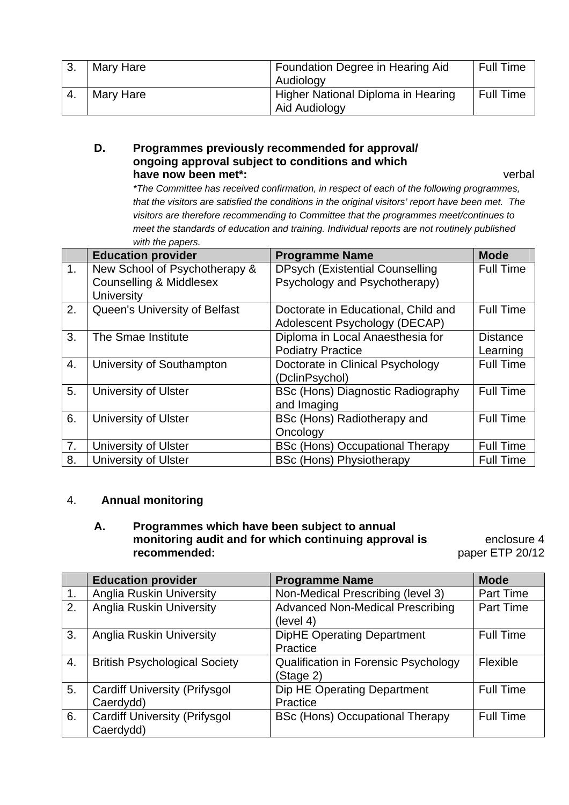| 3. | Mary Hare | Foundation Degree in Hearing Aid   | <b>Full Time</b> |
|----|-----------|------------------------------------|------------------|
|    |           | Audiology                          |                  |
|    | Mary Hare | Higher National Diploma in Hearing | <b>Full Time</b> |
|    |           | Aid Audiology                      |                  |

#### **D. Programmes previously recommended for approval/ ongoing approval subject to conditions and which have now been met\*:** verbal

 *\*The Committee has received confirmation, in respect of each of the following programmes, that the visitors are satisfied the conditions in the original visitors' report have been met. The visitors are therefore recommending to Committee that the programmes meet/continues to meet the standards of education and training. Individual reports are not routinely published with the papers.* 

|    | <b>Education provider</b>          | <b>Programme Name</b>                  | <b>Mode</b>      |
|----|------------------------------------|----------------------------------------|------------------|
| 1. | New School of Psychotherapy &      | <b>DPsych (Existential Counselling</b> | <b>Full Time</b> |
|    | <b>Counselling &amp; Middlesex</b> | Psychology and Psychotherapy)          |                  |
|    | <b>University</b>                  |                                        |                  |
| 2. | Queen's University of Belfast      | Doctorate in Educational, Child and    | <b>Full Time</b> |
|    |                                    | Adolescent Psychology (DECAP)          |                  |
| 3. | The Smae Institute                 | Diploma in Local Anaesthesia for       | <b>Distance</b>  |
|    |                                    | <b>Podiatry Practice</b>               | Learning         |
| 4. | University of Southampton          | Doctorate in Clinical Psychology       | <b>Full Time</b> |
|    |                                    | (DclinPsychol)                         |                  |
| 5. | <b>University of Ulster</b>        | BSc (Hons) Diagnostic Radiography      | <b>Full Time</b> |
|    |                                    | and Imaging                            |                  |
| 6. | University of Ulster               | BSc (Hons) Radiotherapy and            | <b>Full Time</b> |
|    |                                    | Oncology                               |                  |
| 7. | <b>University of Ulster</b>        | <b>BSc (Hons) Occupational Therapy</b> | <b>Full Time</b> |
| 8. | <b>University of Ulster</b>        | <b>BSc (Hons) Physiotherapy</b>        | <b>Full Time</b> |

#### 4. **Annual monitoring**

#### **A. Programmes which have been subject to annual monitoring audit and for which continuing approval is recommended:**

enclosure 4 paper ETP 20/12

|                | <b>Education provider</b>                         | <b>Programme Name</b>                                    | <b>Mode</b>      |
|----------------|---------------------------------------------------|----------------------------------------------------------|------------------|
| $\mathbf{1}$ . | <b>Anglia Ruskin University</b>                   | Non-Medical Prescribing (level 3)                        | <b>Part Time</b> |
| 2.             | <b>Anglia Ruskin University</b>                   | <b>Advanced Non-Medical Prescribing</b><br>(level 4)     | <b>Part Time</b> |
| 3.             | <b>Anglia Ruskin University</b>                   | <b>DipHE Operating Department</b><br>Practice            | <b>Full Time</b> |
| 4.             | <b>British Psychological Society</b>              | <b>Qualification in Forensic Psychology</b><br>(Stage 2) | Flexible         |
| 5.             | <b>Cardiff University (Prifysgol</b><br>Caerdydd) | Dip HE Operating Department<br>Practice                  | <b>Full Time</b> |
| 6.             | <b>Cardiff University (Prifysgol</b><br>Caerdydd) | <b>BSc (Hons) Occupational Therapy</b>                   | <b>Full Time</b> |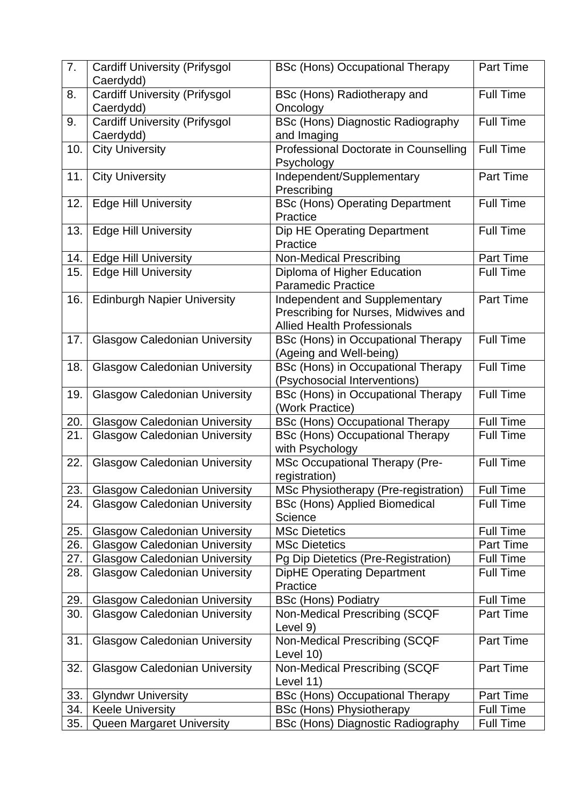| 7.  | <b>Cardiff University (Prifysgol</b><br>Caerdydd) | <b>BSc (Hons) Occupational Therapy</b>                    | Part Time        |
|-----|---------------------------------------------------|-----------------------------------------------------------|------------------|
| 8.  | <b>Cardiff University (Prifysgol</b>              | BSc (Hons) Radiotherapy and                               | <b>Full Time</b> |
|     | Caerdydd)                                         | Oncology                                                  |                  |
| 9.  | <b>Cardiff University (Prifysgol</b>              | <b>BSc (Hons) Diagnostic Radiography</b>                  | Full Time        |
|     | Caerdydd)                                         | and Imaging                                               |                  |
| 10. | <b>City University</b>                            | Professional Doctorate in Counselling                     | <b>Full Time</b> |
|     |                                                   | Psychology                                                |                  |
| 11. | <b>City University</b>                            | Independent/Supplementary<br>Prescribing                  | Part Time        |
| 12. | <b>Edge Hill University</b>                       | <b>BSc (Hons) Operating Department</b><br>Practice        | <b>Full Time</b> |
| 13. | <b>Edge Hill University</b>                       | Dip HE Operating Department                               | <b>Full Time</b> |
|     |                                                   | Practice                                                  |                  |
| 14. | <b>Edge Hill University</b>                       | <b>Non-Medical Prescribing</b>                            | Part Time        |
| 15. | <b>Edge Hill University</b>                       | Diploma of Higher Education                               | <b>Full Time</b> |
|     |                                                   | <b>Paramedic Practice</b>                                 |                  |
| 16. | <b>Edinburgh Napier University</b>                | Independent and Supplementary                             | Part Time        |
|     |                                                   | Prescribing for Nurses, Midwives and                      |                  |
|     |                                                   | <b>Allied Health Professionals</b>                        |                  |
| 17. | <b>Glasgow Caledonian University</b>              | BSc (Hons) in Occupational Therapy                        | <b>Full Time</b> |
|     |                                                   | (Ageing and Well-being)                                   |                  |
| 18. | <b>Glasgow Caledonian University</b>              | <b>BSc (Hons) in Occupational Therapy</b>                 | <b>Full Time</b> |
|     |                                                   | (Psychosocial Interventions)                              |                  |
| 19. | <b>Glasgow Caledonian University</b>              | BSc (Hons) in Occupational Therapy                        | <b>Full Time</b> |
|     |                                                   | (Work Practice)                                           |                  |
| 20. | <b>Glasgow Caledonian University</b>              | <b>BSc (Hons) Occupational Therapy</b>                    | <b>Full Time</b> |
| 21. | <b>Glasgow Caledonian University</b>              | <b>BSc (Hons) Occupational Therapy</b><br>with Psychology | <b>Full Time</b> |
| 22. | <b>Glasgow Caledonian University</b>              | <b>MSc Occupational Therapy (Pre-</b><br>registration)    | <b>Full Time</b> |
| 23. | Glasgow Caledonian University                     | <b>MSc Physiotherapy (Pre-registration)</b>               | Full Time        |
| 24. | <b>Glasgow Caledonian University</b>              | <b>BSc (Hons) Applied Biomedical</b>                      | <b>Full Time</b> |
|     |                                                   | Science                                                   |                  |
| 25. | <b>Glasgow Caledonian University</b>              | <b>MSc Dietetics</b>                                      | <b>Full Time</b> |
| 26. | <b>Glasgow Caledonian University</b>              | <b>MSc Dietetics</b>                                      | Part Time        |
| 27. | <b>Glasgow Caledonian University</b>              | Pg Dip Dietetics (Pre-Registration)                       | <b>Full Time</b> |
| 28. | <b>Glasgow Caledonian University</b>              | <b>DipHE Operating Department</b><br>Practice             | <b>Full Time</b> |
| 29. | <b>Glasgow Caledonian University</b>              | <b>BSc (Hons) Podiatry</b>                                | <b>Full Time</b> |
| 30. | <b>Glasgow Caledonian University</b>              | Non-Medical Prescribing (SCQF                             | <b>Part Time</b> |
|     |                                                   | Level 9)                                                  |                  |
| 31. | <b>Glasgow Caledonian University</b>              | Non-Medical Prescribing (SCQF                             | Part Time        |
|     |                                                   | Level 10)                                                 |                  |
| 32. | <b>Glasgow Caledonian University</b>              | Non-Medical Prescribing (SCQF                             | Part Time        |
|     |                                                   | Level 11)                                                 |                  |
| 33. | <b>Glyndwr University</b>                         | <b>BSc (Hons) Occupational Therapy</b>                    | Part Time        |
| 34. | <b>Keele University</b>                           | <b>BSc (Hons) Physiotherapy</b>                           | <b>Full Time</b> |
| 35. | <b>Queen Margaret University</b>                  | <b>BSc (Hons) Diagnostic Radiography</b>                  | <b>Full Time</b> |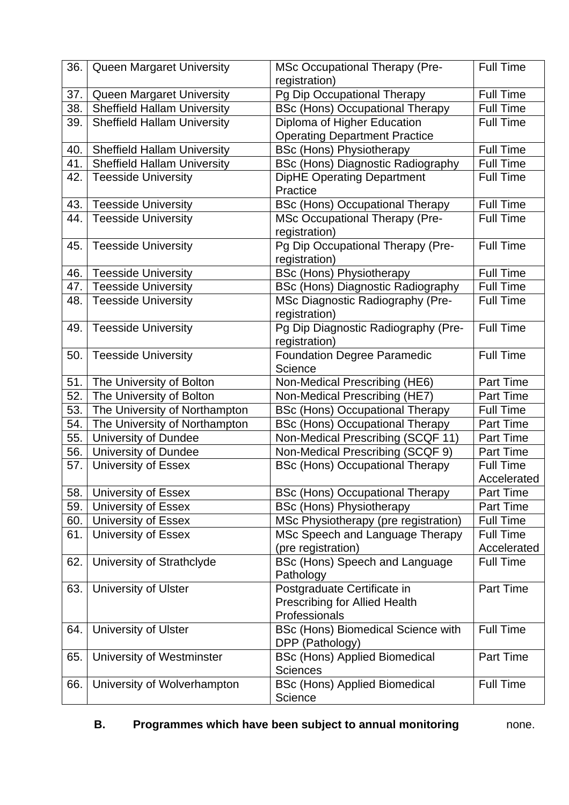| 36.        | Queen Margaret University                                       | <b>MSc Occupational Therapy (Pre-</b>                                 | <b>Full Time</b> |
|------------|-----------------------------------------------------------------|-----------------------------------------------------------------------|------------------|
|            |                                                                 | registration)                                                         | <b>Full Time</b> |
| 37.<br>38. | Queen Margaret University<br><b>Sheffield Hallam University</b> | Pg Dip Occupational Therapy<br><b>BSc (Hons) Occupational Therapy</b> | <b>Full Time</b> |
| 39.        | <b>Sheffield Hallam University</b>                              | Diploma of Higher Education                                           | <b>Full Time</b> |
|            |                                                                 | <b>Operating Department Practice</b>                                  |                  |
| 40.        | <b>Sheffield Hallam University</b>                              | <b>BSc (Hons) Physiotherapy</b>                                       | <b>Full Time</b> |
| 41.        | <b>Sheffield Hallam University</b>                              | <b>BSc (Hons) Diagnostic Radiography</b>                              | <b>Full Time</b> |
| 42.        | <b>Teesside University</b>                                      | <b>DipHE Operating Department</b>                                     | <b>Full Time</b> |
|            |                                                                 | Practice                                                              |                  |
| 43.        | <b>Teesside University</b>                                      | <b>BSc (Hons) Occupational Therapy</b>                                | <b>Full Time</b> |
| 44.        | <b>Teesside University</b>                                      | <b>MSc Occupational Therapy (Pre-</b>                                 | <b>Full Time</b> |
|            |                                                                 | registration)                                                         |                  |
| 45.        | <b>Teesside University</b>                                      | Pg Dip Occupational Therapy (Pre-                                     | <b>Full Time</b> |
|            |                                                                 | registration)                                                         |                  |
| 46.        | <b>Teesside University</b>                                      | <b>BSc (Hons) Physiotherapy</b>                                       | Full Time        |
| 47.        | <b>Teesside University</b>                                      | <b>BSc (Hons) Diagnostic Radiography</b>                              | <b>Full Time</b> |
| 48.        | <b>Teesside University</b>                                      | MSc Diagnostic Radiography (Pre-                                      | <b>Full Time</b> |
|            |                                                                 | registration)                                                         |                  |
| 49.        | <b>Teesside University</b>                                      | Pg Dip Diagnostic Radiography (Pre-                                   | <b>Full Time</b> |
|            |                                                                 | registration)                                                         |                  |
| 50.        | <b>Teesside University</b>                                      | <b>Foundation Degree Paramedic</b>                                    | <b>Full Time</b> |
|            |                                                                 | Science                                                               | Part Time        |
| 51.<br>52. | The University of Bolton<br>The University of Bolton            | Non-Medical Prescribing (HE6)<br>Non-Medical Prescribing (HE7)        | <b>Part Time</b> |
| 53.        | The University of Northampton                                   | <b>BSc (Hons) Occupational Therapy</b>                                | <b>Full Time</b> |
| 54.        | The University of Northampton                                   | <b>BSc (Hons) Occupational Therapy</b>                                | Part Time        |
| 55.        | University of Dundee                                            | Non-Medical Prescribing (SCQF 11)                                     | <b>Part Time</b> |
| 56.        | University of Dundee                                            | Non-Medical Prescribing (SCQF 9)                                      | <b>Part Time</b> |
| 57.        | <b>University of Essex</b>                                      | <b>BSc (Hons) Occupational Therapy</b>                                | <b>Full Time</b> |
|            |                                                                 |                                                                       | Accelerated      |
| 58.        | <b>University of Essex</b>                                      | <b>BSc (Hons) Occupational Therapy</b>                                | Part Time        |
| 59.        | <b>University of Essex</b>                                      | <b>BSc (Hons) Physiotherapy</b>                                       | <b>Part Time</b> |
| 60.        | University of Essex                                             | MSc Physiotherapy (pre registration)                                  | <b>Full Time</b> |
| 61.        | <b>University of Essex</b>                                      | MSc Speech and Language Therapy                                       | Full Time        |
|            |                                                                 | (pre registration)                                                    | Accelerated      |
| 62.        | University of Strathclyde                                       | BSc (Hons) Speech and Language                                        | <b>Full Time</b> |
|            |                                                                 | Pathology                                                             |                  |
| 63.        | <b>University of Ulster</b>                                     | Postgraduate Certificate in                                           | Part Time        |
|            |                                                                 | <b>Prescribing for Allied Health</b>                                  |                  |
|            |                                                                 | Professionals                                                         |                  |
| 64.        | <b>University of Ulster</b>                                     | BSc (Hons) Biomedical Science with                                    | <b>Full Time</b> |
|            |                                                                 | DPP (Pathology)                                                       |                  |
| 65.        | University of Westminster                                       | <b>BSc (Hons) Applied Biomedical</b>                                  | Part Time        |
|            |                                                                 | <b>Sciences</b>                                                       |                  |
| 66.        | University of Wolverhampton                                     | <b>BSc (Hons) Applied Biomedical</b>                                  | <b>Full Time</b> |
|            |                                                                 | Science                                                               |                  |

## **B.** Programmes which have been subject to annual monitoring mone.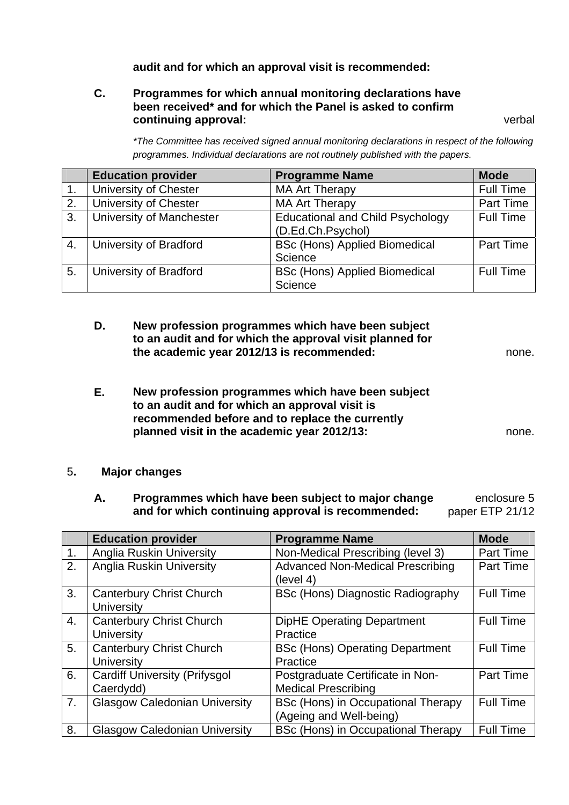### **audit and for which an approval visit is recommended:**

#### **C. Programmes for which annual monitoring declarations have been received\* and for which the Panel is asked to confirm continuing approval:** verbal

 *\*The Committee has received signed annual monitoring declarations in respect of the following programmes. Individual declarations are not routinely published with the papers.* 

|    | <b>Education provider</b> | <b>Programme Name</b>                   | <b>Mode</b>      |
|----|---------------------------|-----------------------------------------|------------------|
|    | University of Chester     | <b>MA Art Therapy</b>                   | <b>Full Time</b> |
| 2. | University of Chester     | <b>MA Art Therapy</b>                   | Part Time        |
| 3. | University of Manchester  | <b>Educational and Child Psychology</b> | <b>Full Time</b> |
|    |                           | (D.Ed.Ch.Psychol)                       |                  |
| 4. | University of Bradford    | <b>BSc (Hons) Applied Biomedical</b>    | Part Time        |
|    |                           | Science                                 |                  |
| 5. | University of Bradford    | <b>BSc (Hons) Applied Biomedical</b>    | <b>Full Time</b> |
|    |                           | Science                                 |                  |

- **D. New profession programmes which have been subject to an audit and for which the approval visit planned for the academic year 2012/13 is recommended:** none.
- **E. New profession programmes which have been subject to an audit and for which an approval visit is recommended before and to replace the currently planned visit in the academic year 2012/13:** none.
- 5**. Major changes** 
	- **A. Programmes which have been subject to major change and for which continuing approval is recommended:**  enclosure 5 paper ETP 21/12

|    | <b>Education provider</b>            | <b>Programme Name</b>                     | <b>Mode</b>      |
|----|--------------------------------------|-------------------------------------------|------------------|
| 1. | <b>Anglia Ruskin University</b>      | Non-Medical Prescribing (level 3)         | Part Time        |
| 2. | <b>Anglia Ruskin University</b>      | <b>Advanced Non-Medical Prescribing</b>   | <b>Part Time</b> |
|    |                                      | (level 4)                                 |                  |
| 3. | <b>Canterbury Christ Church</b>      | BSc (Hons) Diagnostic Radiography         | <b>Full Time</b> |
|    | University                           |                                           |                  |
| 4. | <b>Canterbury Christ Church</b>      | <b>DipHE Operating Department</b>         | <b>Full Time</b> |
|    | <b>University</b>                    | Practice                                  |                  |
| 5. | <b>Canterbury Christ Church</b>      | <b>BSc (Hons) Operating Department</b>    | <b>Full Time</b> |
|    | University                           | Practice                                  |                  |
| 6. | <b>Cardiff University (Prifysgol</b> | Postgraduate Certificate in Non-          | Part Time        |
|    | Caerdydd)                            | <b>Medical Prescribing</b>                |                  |
| 7. | <b>Glasgow Caledonian University</b> | <b>BSc (Hons) in Occupational Therapy</b> | <b>Full Time</b> |
|    |                                      | (Ageing and Well-being)                   |                  |
| 8. | <b>Glasgow Caledonian University</b> | BSc (Hons) in Occupational Therapy        | Full Time        |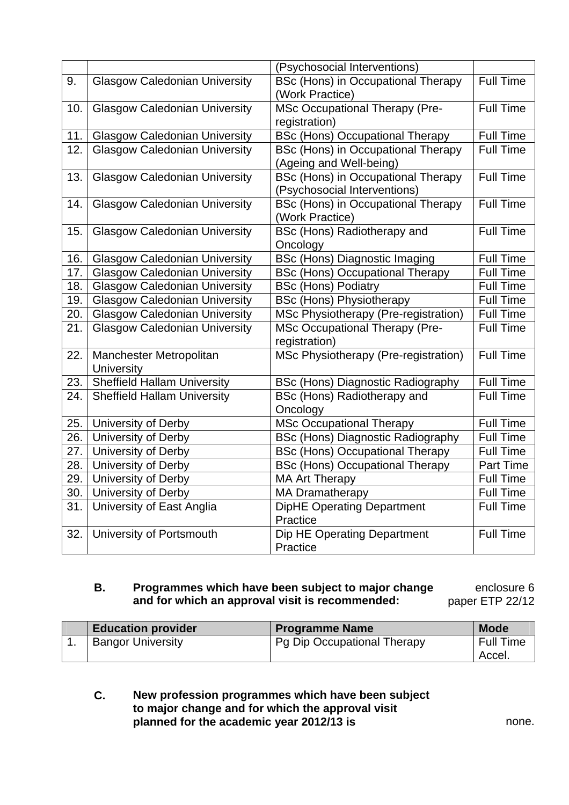|     |                                              | (Psychosocial Interventions)                                         |                  |
|-----|----------------------------------------------|----------------------------------------------------------------------|------------------|
| 9.  | <b>Glasgow Caledonian University</b>         | <b>BSc (Hons) in Occupational Therapy</b><br>(Work Practice)         | Full Time        |
| 10. | <b>Glasgow Caledonian University</b>         | <b>MSc Occupational Therapy (Pre-</b><br>registration)               | <b>Full Time</b> |
| 11. | <b>Glasgow Caledonian University</b>         | <b>BSc (Hons) Occupational Therapy</b>                               | Full Time        |
| 12. | <b>Glasgow Caledonian University</b>         | <b>BSc (Hons) in Occupational Therapy</b><br>(Ageing and Well-being) | <b>Full Time</b> |
| 13. | <b>Glasgow Caledonian University</b>         | BSc (Hons) in Occupational Therapy<br>(Psychosocial Interventions)   | <b>Full Time</b> |
| 14. | <b>Glasgow Caledonian University</b>         | BSc (Hons) in Occupational Therapy<br>(Work Practice)                | <b>Full Time</b> |
| 15. | <b>Glasgow Caledonian University</b>         | BSc (Hons) Radiotherapy and<br>Oncology                              | <b>Full Time</b> |
| 16. | <b>Glasgow Caledonian University</b>         | BSc (Hons) Diagnostic Imaging                                        | <b>Full Time</b> |
| 17. | <b>Glasgow Caledonian University</b>         | <b>BSc (Hons) Occupational Therapy</b>                               | <b>Full Time</b> |
| 18. | <b>Glasgow Caledonian University</b>         | <b>BSc (Hons) Podiatry</b>                                           | <b>Full Time</b> |
| 19. | <b>Glasgow Caledonian University</b>         | <b>BSc (Hons) Physiotherapy</b>                                      | <b>Full Time</b> |
| 20. | <b>Glasgow Caledonian University</b>         | MSc Physiotherapy (Pre-registration)                                 | <b>Full Time</b> |
| 21. | <b>Glasgow Caledonian University</b>         | <b>MSc Occupational Therapy (Pre-</b><br>registration)               | <b>Full Time</b> |
| 22. | Manchester Metropolitan<br><b>University</b> | MSc Physiotherapy (Pre-registration)                                 | <b>Full Time</b> |
| 23. | <b>Sheffield Hallam University</b>           | <b>BSc (Hons) Diagnostic Radiography</b>                             | <b>Full Time</b> |
| 24. | <b>Sheffield Hallam University</b>           | BSc (Hons) Radiotherapy and<br>Oncology                              | <b>Full Time</b> |
| 25. | University of Derby                          | <b>MSc Occupational Therapy</b>                                      | <b>Full Time</b> |
| 26. | University of Derby                          | <b>BSc (Hons) Diagnostic Radiography</b>                             | <b>Full Time</b> |
| 27. | University of Derby                          | <b>BSc (Hons) Occupational Therapy</b>                               | <b>Full Time</b> |
| 28. | University of Derby                          | <b>BSc (Hons) Occupational Therapy</b>                               | Part Time        |
| 29. | University of Derby                          | <b>MA Art Therapy</b>                                                | <b>Full Time</b> |
| 30. | University of Derby                          | MA Dramatherapy                                                      | <b>Full Time</b> |
| 31. | University of East Anglia                    | <b>DipHE Operating Department</b><br>Practice                        | <b>Full Time</b> |
| 32. | University of Portsmouth                     | Dip HE Operating Department<br>Practice                              | Full Time        |

### **B. Programmes which have been subject to major change and for which an approval visit is recommended:**

enclosure 6 paper ETP 22/12

| <b>Education provider</b> | <b>Programme Name</b>       | <b>Mode</b> |
|---------------------------|-----------------------------|-------------|
| <b>Bangor University</b>  | Pg Dip Occupational Therapy | Full Time   |
|                           |                             | Accel.      |

### **C. New profession programmes which have been subject to major change and for which the approval visit planned for the academic year 2012/13 is** none.